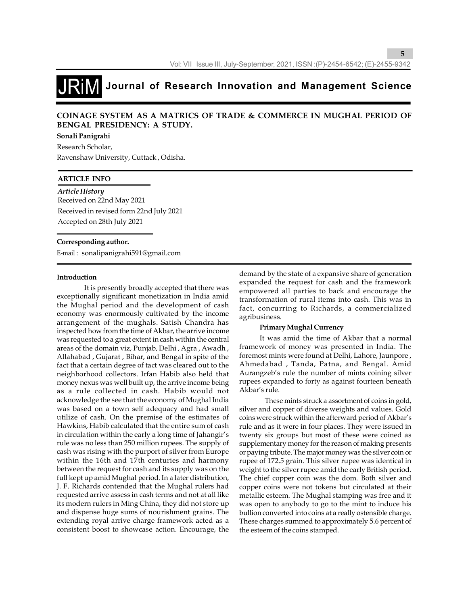### **COINAGE SYSTEM AS A MATRICS OF TRADE & COMMERCE IN MUGHAL PERIOD OF BENGAL PRESIDENCY: A STUDY.**

### **Sonali Panigrahi**

Research Scholar, Ravenshaw University, Cuttack , Odisha.

### **ARTICLE INFO**

*Article History* Received on 22nd May 2021 Received in revised form 22nd July 2021 Accepted on 28th July 2021

#### **Corresponding author.**

E-mail : sonalipanigrahi591@gmail.com

### **Introduction**

 It is presently broadly accepted that there was exceptionally significant monetization in India amid the Mughal period and the development of cash economy was enormously cultivated by the income arrangement of the mughals. Satish Chandra has inspected how from the time of Akbar, the arrive income was requested to a great extent in cash within the central areas of the domain viz, Punjab, Delhi , Agra , Awadh , Allahabad , Gujarat , Bihar, and Bengal in spite of the fact that a certain degree of tact was cleared out to the neighborhood collectors. Irfan Habib also held that money nexus was well built up, the arrive income being as a rule collected in cash. Habib would not acknowledge the see that the economy of Mughal India was based on a town self adequacy and had small utilize of cash. On the premise of the estimates of Hawkins, Habib calculated that the entire sum of cash in circulation within the early a long time of Jahangir's rule was no less than 250 million rupees. The supply of cash was rising with the purport of silver from Europe within the 16th and 17th centuries and harmony between the request for cash and its supply was on the full kept up amid Mughal period. In a later distribution, J. F. Richards contended that the Mughal rulers had requested arrive assess in cash terms and not at all like its modern rulers in Ming China, they did not store up and dispense huge sums of nourishment grains. The extending royal arrive charge framework acted as a consistent boost to showcase action. Encourage, the demand by the state of a expansive share of generation expanded the request for cash and the framework empowered all parties to back and encourage the transformation of rural items into cash. This was in fact, concurring to Richards, a commercialized agribusiness.

### **Primary Mughal Currency**

It was amid the time of Akbar that a normal framework of money was presented in India. The foremost mints were found at Delhi, Lahore, Jaunpore , Ahmedabad , Tanda, Patna, and Bengal. Amid Aurangzeb's rule the number of mints coining silver rupees expanded to forty as against fourteen beneath Akbar's rule.

 These mints struck a assortment of coins in gold, silver and copper of diverse weights and values. Gold coins were struck within the afterward period of Akbar's rule and as it were in four places. They were issued in twenty six groups but most of these were coined as supplementary money for the reason of making presents or paying tribute. The major money was the silver coin or rupee of 172.5 grain. This silver rupee was identical in weight to the silver rupee amid the early British period. The chief copper coin was the dom. Both silver and copper coins were not tokens but circulated at their metallic esteem. The Mughal stamping was free and it was open to anybody to go to the mint to induce his bullion converted into coins at a really ostensible charge. These charges summed to approximately 5.6 percent of the esteem of the coins stamped.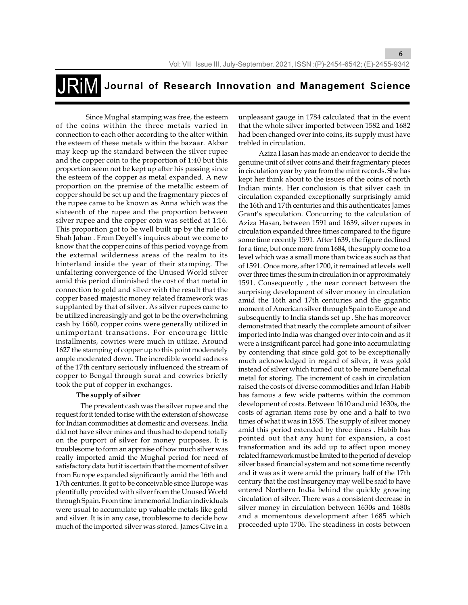Since Mughal stamping was free, the esteem of the coins within the three metals varied in connection to each other according to the alter within the esteem of these metals within the bazaar. Akbar may keep up the standard between the silver rupee and the copper coin to the proportion of 1:40 but this proportion seem not be kept up after his passing since the esteem of the copper as metal expanded. A new proportion on the premise of the metallic esteem of copper should be set up and the fragmentary pieces of the rupee came to be known as Anna which was the sixteenth of the rupee and the proportion between silver rupee and the copper coin was settled at 1:16. This proportion got to be well built up by the rule of Shah Jahan . From Deyell's inquires about we come to know that the copper coins of this period voyage from the external wilderness areas of the realm to its hinterland inside the year of their stamping. The unfaltering convergence of the Unused World silver amid this period diminished the cost of that metal in connection to gold and silver with the result that the copper based majestic money related framework was supplanted by that of silver. As silver rupees came to be utilized increasingly and got to be the overwhelming cash by 1660, copper coins were generally utilized in unimportant transations. For encourage little installments, cowries were much in utilize. Around 1627 the stamping of copper up to this point moderately ample moderated down. The incredible world sadness of the 17th century seriously influenced the stream of copper to Bengal through surat and cowries briefly took the put of copper in exchanges.

### **The supply of silver**

 The prevalent cash was the silver rupee and the request for it tended to rise with the extension of showcase for Indian commodities at domestic and overseas. India did not have silver mines and thus had to depend totally on the purport of silver for money purposes. It is troublesome to form an appraise of how much silver was really imported amid the Mughal period for need of satisfactory data but it is certain that the moment of silver from Europe expanded significantly amid the 16th and 17th centuries. It got to be conceivable since Europe was plentifully provided with silver from the Unused World through Spain. From time immemorial Indian individuals were usual to accumulate up valuable metals like gold and silver. It is in any case, troublesome to decide how much of the imported silver was stored. James Give in a

unpleasant gauge in 1784 calculated that in the event that the whole silver imported between 1582 and 1682 had been changed over into coins, its supply must have trebled in circulation.

**6**

Aziza Hasan has made an endeavor to decide the genuine unit of silver coins and their fragmentary pieces in circulation year by year from the mint records. She has kept her think about to the issues of the coins of north Indian mints. Her conclusion is that silver cash in circulation expanded exceptionally surprisingly amid the 16th and 17th centuries and this authenticates James Grant's speculation. Concurring to the calculation of Aziza Hasan, between 1591 and 1639, silver rupees in circulation expanded three times compared to the figure some time recently 1591. After 1639, the figure declined for a time, but once more from 1684, the supply come to a level which was a small more than twice as such as that of 1591. Once more, after 1700, it remained at levels well over three times the sum in circulation in or approximately 1591. Consequently , the near connect between the surprising development of silver money in circulation amid the 16th and 17th centuries and the gigantic moment of American silver through Spain to Europe and subsequently to India stands set up . She has moreover demonstrated that nearly the complete amount of silver imported into India was changed over into coin and as it were a insignificant parcel had gone into accumulating by contending that since gold got to be exceptionally much acknowledged in regard of silver, it was gold instead of silver which turned out to be more beneficial metal for storing. The increment of cash in circulation raised the costs of diverse commodities and Irfan Habib has famous a few wide patterns within the common development of costs. Between 1610 and mid 1630s, the costs of agrarian items rose by one and a half to two times of what it was in 1595. The supply of silver money amid this period extended by three times . Habib has pointed out that any hunt for expansion, a cost transformation and its add up to affect upon money related framework must be limited to the period of develop silver based financial system and not some time recently and it was as it were amid the primary half of the 17th century that the cost Insurgency may well be said to have entered Northern India behind the quickly growing circulation of silver. There was a consistent decrease in silver money in circulation between 1630s and 1680s and a momentous development after 1685 which proceeded upto 1706. The steadiness in costs between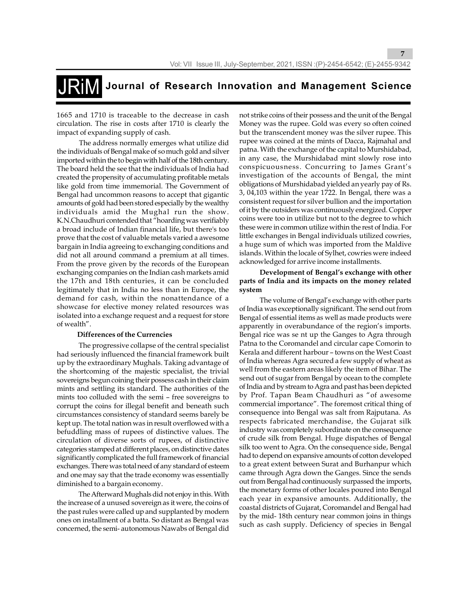1665 and 1710 is traceable to the decrease in cash circulation. The rise in costs after 1710 is clearly the impact of expanding supply of cash.

 The address normally emerges what utilize did the individuals of Bengal make of so much gold and silver imported within the to begin with half of the 18th century. The board held the see that the individuals of India had created the propensity of accumulating profitable metals like gold from time immemorial. The Government of Bengal had uncommon reasons to accept that gigantic amounts of gold had been stored especially by the wealthy individuals amid the Mughal run the show. K.N.Chaudhuri contended that "hoarding was verifiably a broad include of Indian financial life, but there's too prove that the cost of valuable metals varied a awesome bargain in India agreeing to exchanging conditions and did not all around command a premium at all times. From the prove given by the records of the European exchanging companies on the Indian cash markets amid the 17th and 18th centuries, it can be concluded legitimately that in India no less than in Europe, the demand for cash, within the nonattendance of a showcase for elective money related resources was isolated into a exchange request and a request for store of wealth".

### **Differences of the Currencies**

 The progressive collapse of the central specialist had seriously influenced the financial framework built up by the extraordinary Mughals. Taking advantage of the shortcoming of the majestic specialist, the trivial sovereigns begun coining their possess cash in their claim mints and settling its standard. The authorities of the mints too colluded with the semi – free sovereigns to corrupt the coins for illegal benefit and beneath such circumstances consistency of standard seems barely be kept up. The total nation was in result overflowed with a befuddling mass of rupees of distinctive values. The circulation of diverse sorts of rupees, of distinctive categories stamped at different places, on distinctive dates significantly complicated the full framework of financial exchanges. There was total need of any standard of esteem and one may say that the trade economy was essentially diminished to a bargain economy.

 The Afterward Mughals did not enjoy in this. With the increase of a unused sovereign as it were, the coins of the past rules were called up and supplanted by modern ones on installment of a batta. So distant as Bengal was concerned, the semi- autonomous Nawabs of Bengal did not strike coins of their possess and the unit of the Bengal Money was the rupee. Gold was every so often coined but the transcendent money was the silver rupee. This rupee was coined at the mints of Dacca, Rajmahal and patna. With the exchange of the capital to Murshidabad, in any case, the Murshidabad mint slowly rose into conspicuousness. Concurring to James Grant's investigation of the accounts of Bengal, the mint obligations of Murshidabad yielded an yearly pay of Rs. 3, 04,103 within the year 1722. In Bengal, there was a consistent request for silver bullion and the importation of it by the outsiders was continuously energized. Copper coins were too in utilize but not to the degree to which these were in common utilize within the rest of India. For little exchanges in Bengal individuals utilized cowries, a huge sum of which was imported from the Maldive islands. Within the locale of Sylhet, cowries were indeed acknowledged for arrive income installments.

**7**

### **Development of Bengal's exchange with other parts of India and its impacts on the money related system**

The volume of Bengal's exchange with other parts of India was exceptionally significant. The send out from Bengal of essential items as well as made products were apparently in overabundance of the region's imports. Bengal rice was se nt up the Ganges to Agra through Patna to the Coromandel and circular cape Comorin to Kerala and different harbour – towns on the West Coast of India whereas Agra secured a few supply of wheat as well from the eastern areas likely the item of Bihar. The send out of sugar from Bengal by ocean to the complete of India and by stream to Agra and past has been depicted by Prof. Tapan Beam Chaudhuri as "of awesome commercial importance". The foremost critical thing of consequence into Bengal was salt from Rajputana. As respects fabricated merchandise, the Gujarat silk industry was completely subordinate on the consequence of crude silk from Bengal. Huge dispatches of Bengal silk too went to Agra. On the consequence side, Bengal had to depend on expansive amounts of cotton developed to a great extent between Surat and Burhanpur which came through Agra down the Ganges. Since the sends out from Bengal had continuously surpassed the imports, the monetary forms of other locales poured into Bengal each year in expansive amounts. Additionally, the coastal districts of Gujarat, Coromandel and Bengal had by the mid- 18th century near common joins in things such as cash supply. Deficiency of species in Bengal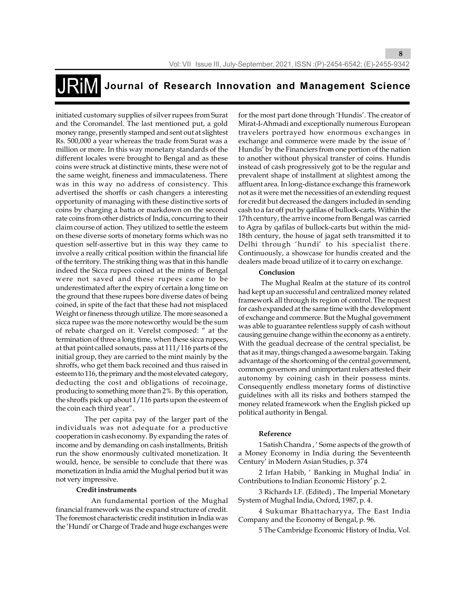initiated customary supplies of silver rupees from Surat and the Coromandel. The last mentioned put, a gold money range, presently stamped and sent out at slightest Rs. 500,000 a year whereas the trade from Surat was a million or more. In this way monetary standards of the different locales were brought to Bengal and as these coins were struck at distinctive mints, these were not of the same weight, fineness and immaculateness. There was in this way no address of consistency. This advertised the shorffs or cash changers a interesting opportunity of managing with these distinctive sorts of coins by charging a batta or markdown on the second rate coins from other districts of India, concurring to their claim course of action. They utilized to settle the esteem on these diverse sorts of monetary forms which was no question self-assertive but in this way they came to involve a really critical position within the financial life of the territory. The striking thing was that in this handle indeed the Sicca rupees coined at the mints of Bengal were not saved and these rupees came to be underestimated after the expiry of certain a long time on the ground that these rupees bore diverse dates of being coined, in spite of the fact that these had not misplaced Weight or fineness through utilize. The more seasoned a sicca rupee was the more noteworthy would be the sum of rebate charged on it. Verelst composed: " at the termination of three a long time, when these sicca rupees, at that point called sonauts, pass at 111/116 parts of the initial group, they are carried to the mint mainly by the shroffs, who get them back recoined and thus raised in esteem to 116, the primary and the most elevated category, deducting the cost and obligations of recoinage, producing to something more than 2%. By this operation, the shroffs pick up about 1/116 parts upon the esteem of the coin each third year".

 The per capita pay of the larger part of the individuals was not adequate for a productive cooperation in cash economy. By expanding the rates of income and by demanding on cash installments, British run the show enormously cultivated monetization. It would, hence, be sensible to conclude that there was monetization in India amid the Mughal period but it was not very impressive.

### **Credit instruments**

 An fundamental portion of the Mughal financial framework was the expand structure of credit. The foremost characteristic credit institution in India was the 'Hundi' or Charge of Trade and huge exchanges were

for the most part done through 'Hundis'. The creator of Mirat-I-Ahmadi and exceptionally numerous European travelers portrayed how enormous exchanges in exchange and commerce were made by the issue of ' Hundis' by the Financiers from one portion of the nation to another without physical transfer of coins. Hundis instead of cash progressively got to be the regular and prevalent shape of installment at slightest among the affluent area. In long-distance exchange this framework not as it were met the necessities of an extending request for credit but decreased the dangers included in sending cash to a far off put by qafilas of bullock-carts. Within the 17th century, the arrive income from Bengal was carried to Agra by qafilas of bullock-carts but within the mid-18th century, the house of jagat seth transmitted it to Delhi through 'hundi' to his specialist there. Continuously, a showcase for hundis created and the dealers made broad utilize of it to carry on exchange.

**8**

### **Conclusion**

 The Mughal Realm at the stature of its control had kept up an successful and centralized money related framework all through its region of control. The request for cash expanded at the same time with the development of exchange and commerce. But the Mughal government was able to guarantee relentless supply of cash without causing genuine change within the economy as a entirety. With the geadual decrease of the central specialist, be that as it may, things changed a awesome bargain. Taking advantage of the shortcoming of the central government, common governors and unimportant rulers attested their autonomy by coining cash in their possess mints. Consequently endless monetary forms of distinctive guidelines with all its risks and bothers stamped the money related framework when the English picked up political authority in Bengal.

### **Reference**

1 Satish Chandra , ' Some aspects of the growth of a Money Economy in India during the Seventeenth Century' in Modern Asian Studies, p. 374

2 Irfan Habib, ' Banking in Mughal India' in Contributions to Indian Economic History' p. 2.

3 Richards I.F. (Edited) , The Imperial Monetary System of Mughal India, Oxford, 1987, p. 4.

4 Sukumar Bhattacharyya, The East India Company and the Economy of Bengal, p. 96.

5 The Cambridge Economic History of India, Vol.